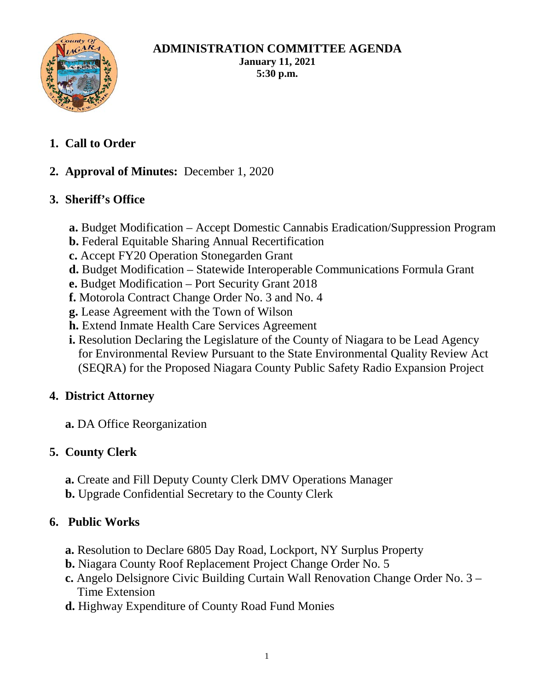

#### **ADMINISTRATION COMMITTEE AGENDA January 11, 2021 5:30 p.m.**

- **1. Call to Order**
- **2. Approval of Minutes:** December 1, 2020

# **3. Sheriff's Office**

- **a.** Budget Modification Accept Domestic Cannabis Eradication/Suppression Program
- **b.** Federal Equitable Sharing Annual Recertification
- **c.** Accept FY20 Operation Stonegarden Grant
- **d.** Budget Modification Statewide Interoperable Communications Formula Grant
- **e.** Budget Modification Port Security Grant 2018
- **f.** Motorola Contract Change Order No. 3 and No. 4
- **g.** Lease Agreement with the Town of Wilson
- **h.** Extend Inmate Health Care Services Agreement
- **i.** Resolution Declaring the Legislature of the County of Niagara to be Lead Agency for Environmental Review Pursuant to the State Environmental Quality Review Act (SEQRA) for the Proposed Niagara County Public Safety Radio Expansion Project

### **4. District Attorney**

**a.** DA Office Reorganization

### **5. County Clerk**

- **a.** Create and Fill Deputy County Clerk DMV Operations Manager
- **b.** Upgrade Confidential Secretary to the County Clerk

### **6. Public Works**

- **a.** Resolution to Declare 6805 Day Road, Lockport, NY Surplus Property
- **b.** Niagara County Roof Replacement Project Change Order No. 5
- **c.** Angelo Delsignore Civic Building Curtain Wall Renovation Change Order No. 3 Time Extension
- **d.** Highway Expenditure of County Road Fund Monies